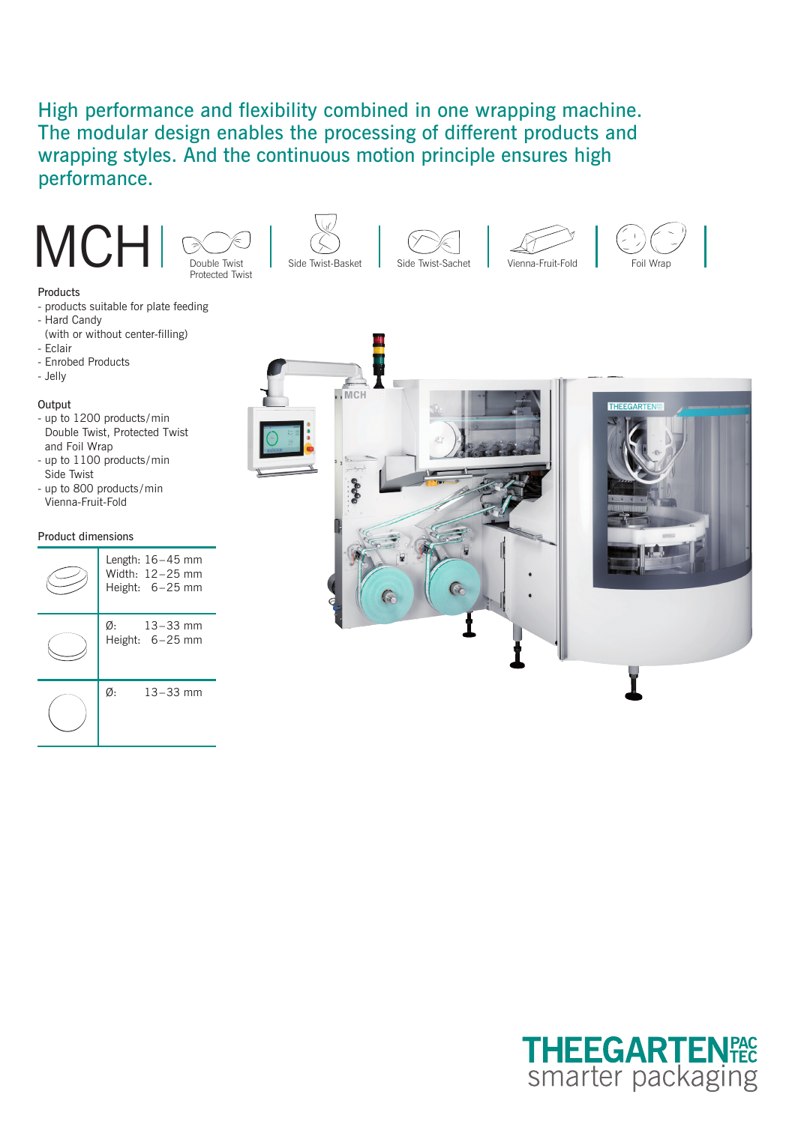# High performance and flexibility combined in one wrapping machine. The modular design enables the processing of different products and wrapping styles. And the continuous motion principle ensures high performance.















- products suitable for plate feeding
- Hard Candy
- (with or without center-filling)
- Eclair
- Enrobed Products
- Jelly

## **Output**

- up to 1200 products /min Double Twist, Protected Twist and Foil Wrap
- up to 1100 products/min Side Twist - up to 800 products / min
- Vienna-Fruit-Fold

### Product dimensions

|    | Length: $16-45$ mm<br>Width: 12-25 mm<br>Height: $6-25$ mm |
|----|------------------------------------------------------------|
| Ø: | $13 - 33$ mm<br>Height: 6-25 mm                            |
| Ø. | $13 - 33$ mm                                               |